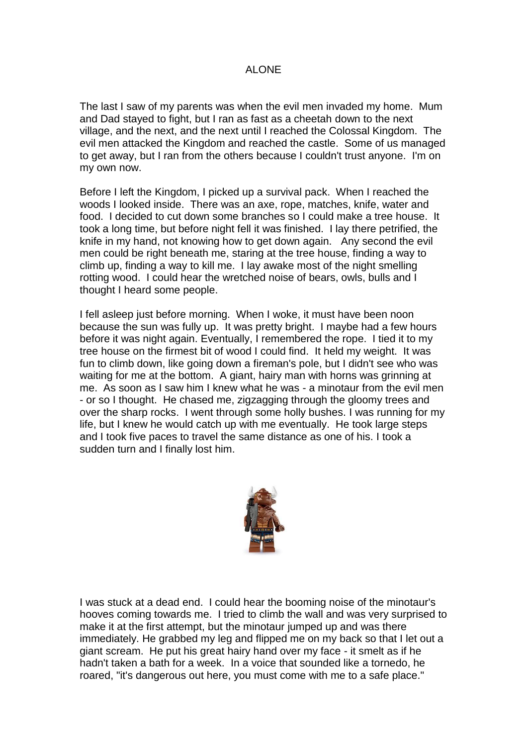## ALONE

The last I saw of my parents was when the evil men invaded my home. Mum and Dad stayed to fight, but I ran as fast as a cheetah down to the next village, and the next, and the next until I reached the Colossal Kingdom. The evil men attacked the Kingdom and reached the castle. Some of us managed to get away, but I ran from the others because I couldn't trust anyone. I'm on my own now.

Before I left the Kingdom, I picked up a survival pack. When I reached the woods I looked inside. There was an axe, rope, matches, knife, water and food. I decided to cut down some branches so I could make a tree house. It took a long time, but before night fell it was finished. I lay there petrified, the knife in my hand, not knowing how to get down again. Any second the evil men could be right beneath me, staring at the tree house, finding a way to climb up, finding a way to kill me. I lay awake most of the night smelling rotting wood. I could hear the wretched noise of bears, owls, bulls and I thought I heard some people.

I fell asleep just before morning. When I woke, it must have been noon because the sun was fully up. It was pretty bright. I maybe had a few hours before it was night again. Eventually, I remembered the rope. I tied it to my tree house on the firmest bit of wood I could find. It held my weight. It was fun to climb down, like going down a fireman's pole, but I didn't see who was waiting for me at the bottom. A giant, hairy man with horns was grinning at me. As soon as I saw him I knew what he was - a minotaur from the evil men - or so I thought. He chased me, zigzagging through the gloomy trees and over the sharp rocks. I went through some holly bushes. I was running for my life, but I knew he would catch up with me eventually. He took large steps and I took five paces to travel the same distance as one of his. I took a sudden turn and I finally lost him.



I was stuck at a dead end. I could hear the booming noise of the minotaur's hooves coming towards me. I tried to climb the wall and was very surprised to make it at the first attempt, but the minotaur jumped up and was there immediately. He grabbed my leg and flipped me on my back so that I let out a giant scream. He put his great hairy hand over my face - it smelt as if he hadn't taken a bath for a week. In a voice that sounded like a tornedo, he roared, "it's dangerous out here, you must come with me to a safe place."